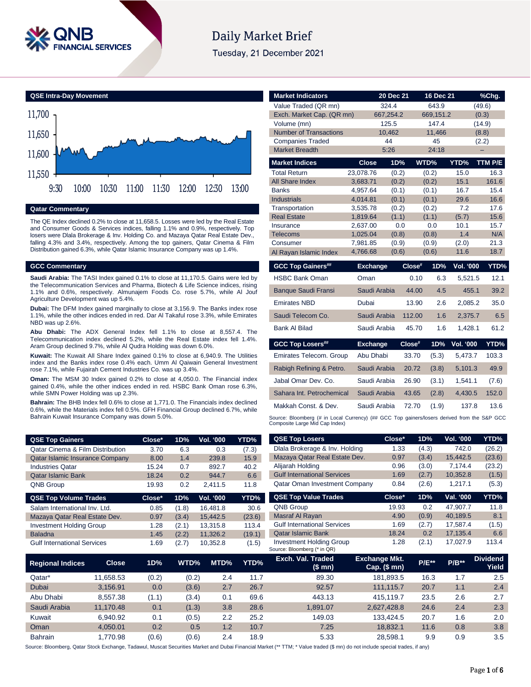

# Daily Market Brief

Tuesday, 21 December 2021



### **Qatar Commentary**

The QE Index declined 0.2% to close at 11,658.5. Losses were led by the Real Estate and Consumer Goods & Services indices, falling 1.1% and 0.9%, respectively. Top losers were Dlala Brokerage & Inv. Holding Co. and Mazaya Qatar Real Estate Dev., falling 4.3% and 3.4%, respectively. Among the top gainers, Qatar Cinema & Film Distribution gained 6.3%, while Qatar Islamic Insurance Company was up 1.4%.

### **GCC Commentary**

**Saudi Arabia:** The TASI Index gained 0.1% to close at 11,170.5. Gains were led by the Telecommunication Services and Pharma, Biotech & Life Science indices, rising 1.1% and 0.6%, respectively. Almunajem Foods Co. rose 5.7%, while Al Jouf Agriculture Development was up 5.4%.

**Dubai:** The DFM Index gained marginally to close at 3,156.9. The Banks index rose 1.1%, while the other indices ended in red. Dar Al Takaful rose 3.3%, while Emirates NBD was up 2.6%.

**Abu Dhabi:** The ADX General Index fell 1.1% to close at 8,557.4. The Telecommunication index declined 5.2%, while the Real Estate index fell 1.4%. Aram Group declined 9.7%, while Al Qudra Holding was down 6.0%.

**Kuwait:** The Kuwait All Share Index gained 0.1% to close at 6,940.9. The Utilities index and the Banks index rose 0.4% each. Umm Al Qaiwain General Investment rose 7.1%, while Fujairah Cement Industries Co. was up 3.4%.

**Oman:** The MSM 30 Index gained 0.2% to close at 4,050.0. The Financial index gained 0.4%, while the other indices ended in red. HSBC Bank Oman rose 6.3%, while SMN Power Holding was up 2.3%.

**Bahrain:** The BHB Index fell 0.6% to close at 1,771.0. The Financials index declined 0.6%, while the Materials index fell 0.5%. GFH Financial Group declined 6.7%, while Bahrain Kuwait Insurance Company was down 5.0%.

| <b>QSE Top Gainers</b>                      | Close* | 1D% | <b>Vol. '000</b> | YTD%  |
|---------------------------------------------|--------|-----|------------------|-------|
| <b>Qatar Cinema &amp; Film Distribution</b> | 3.70   | 6.3 | 0.3              | (7.3) |
| <b>Qatar Islamic Insurance Company</b>      | 8.00   | 1.4 | 239.8            | 15.9  |
| <b>Industries Qatar</b>                     | 15.24  | 0.7 | 892.7            | 40.2  |
| <b>Qatar Islamic Bank</b>                   | 18.24  | 0.2 | 944.7            | 6.6   |
| QNB Group                                   | 19.93  | 0.2 | 2.411.5          | 11.8  |

| <b>QSE Top Volume Trades</b>       | Close* | 1D%   | <b>Vol. '000</b> | YTD%   |
|------------------------------------|--------|-------|------------------|--------|
| Salam International Inv. Ltd.      | 0.85   | (1.8) | 16,481.8         | 30.6   |
| Mazaya Qatar Real Estate Dev.      | 0.97   | (3.4) | 15.442.5         | (23.6) |
| <b>Investment Holding Group</b>    | 1.28   | (2.1) | 13.315.8         | 113.4  |
| <b>Baladna</b>                     | 1.45   | (2.2) | 11.326.2         | (19.1) |
| <b>Gulf International Services</b> | 1.69   | (2.7) | 10.352.8         | (1.5)  |

| <b>Market Indicators</b>        |                      | 20 Dec 21    | 16 Dec 21    |                  | %Chq.        |
|---------------------------------|----------------------|--------------|--------------|------------------|--------------|
| Value Traded (QR mn)            |                      | 324.4        | 643.9        |                  | (49.6)       |
| Exch. Market Cap. (QR mn)       |                      | 667,254.2    | 669,151.2    |                  | (0.3)        |
| Volume (mn)                     |                      | 125.5        | 147.4        |                  | (14.9)       |
| <b>Number of Transactions</b>   |                      | 10,462       | 11,466       |                  | (8.8)        |
| <b>Companies Traded</b>         |                      | 44           | 45           |                  | (2.2)        |
| <b>Market Breadth</b>           |                      | 5:26         | 24:18        |                  |              |
| <b>Market Indices</b>           | <b>Close</b>         | 1D%          | WTD%         | YTD%             | TTM P/E      |
| <b>Total Return</b>             | 23,078.76            | (0.2)        | (0.2)        | 15.0             | 16.3         |
| All Share Index                 | 3,683.71             | (0.2)        | (0.2)        | 15.1             | 161.6        |
| <b>Banks</b>                    | 4,957.64             | (0.1)        | (0.1)        | 16.7             | 15.4         |
| <b>Industrials</b>              | 4,014.81             | (0.1)        | (0.1)        | 29.6             | 16.6         |
| Transportation                  | 3,535.78             | (0.2)        | (0.2)        | 7.2              | 17.6         |
| <b>Real Estate</b><br>Insurance | 1,819.64             | (1.1)<br>0.0 | (1.1)<br>0.0 | (5.7)<br>10.1    | 15.6<br>15.7 |
| Telecoms                        | 2,637.00<br>1,025.04 | (0.8)        | (0.8)        | 1.4              | N/A          |
| Consumer                        | 7,981.85             | (0.9)        | (0.9)        | (2.0)            | 21.3         |
| Al Rayan Islamic Index          | 4,766.68             | (0.6)        | (0.6)        | 11.6             | 18.7         |
|                                 |                      | Close#       | 1D%          | <b>Vol. '000</b> | YTD%         |
| <b>GCC Top Gainers##</b>        | <b>Exchange</b>      |              |              |                  |              |
| <b>HSBC Bank Oman</b>           | Oman                 |              | 0.10<br>6.3  | 5,521.5          | 12.1         |
| <b>Banque Saudi Fransi</b>      | Saudi Arabia         |              | 44.00<br>4.5 | 455.1            | 39.2         |
|                                 |                      |              |              |                  |              |
| <b>Emirates NBD</b>             | Dubai                |              | 2.6<br>13.90 | 2,085.2          | 35.0         |
| Saudi Telecom Co.               | Saudi Arabia         | 112.00       | 1.6          | 2,375.7          | 6.5          |
| Bank Al Bilad                   | Saudi Arabia         |              | 45.70<br>1.6 | 1,428.1          | 61.2         |
| <b>GCC Top Losers##</b>         | <b>Exchange</b>      | Close#       | 1D%          | Vol. '000        | YTD%         |
| Emirates Telecom. Group         | Abu Dhabi            | 33.70        | (5.3)        | 5,473.7          | 103.3        |
| Rabigh Refining & Petro.        | Saudi Arabia         | 20.72        | (3.8)        | 5,101.3          | 49.9         |
| Jabal Omar Dev. Co.             | Saudi Arabia         | 26.90        | (3.1)        | 1.541.1          | (7.6)        |
| Sahara Int. Petrochemical       | Saudi Arabia         | 43.65        | (2.8)        | 4,430.5          | 152.0        |
| Makkah Const. & Dev.            | Saudi Arabia         | 72.70        | (1.9)        | 137.8            | 13.6         |

| <b>QSE Top Gainers</b>                      |              | Close* | 1D%   | Vol. '000        | <b>YTD%</b> | <b>QSE Top Losers</b>                                          | Close*                                 | 1D%     | Vol. '000 | YTD%                     |
|---------------------------------------------|--------------|--------|-------|------------------|-------------|----------------------------------------------------------------|----------------------------------------|---------|-----------|--------------------------|
| <b>Qatar Cinema &amp; Film Distribution</b> |              | 3.70   | 6.3   | 0.3              | (7.3)       | Dlala Brokerage & Inv. Holding                                 | 1.33                                   | (4.3)   | 742.0     | (26.2)                   |
| Qatar Islamic Insurance Company             |              | 8.00   | 1.4   | 239.8            | 15.9        | Mazaya Qatar Real Estate Dev.                                  | 0.97                                   | (3.4)   | 15,442.5  | (23.6)                   |
| <b>Industries Qatar</b>                     |              | 15.24  | 0.7   | 892.7            | 40.2        | Alijarah Holding                                               | 0.96                                   | (3.0)   | 7,174.4   | (23.2)                   |
| <b>Qatar Islamic Bank</b>                   |              | 18.24  | 0.2   | 944.7            | 6.6         | <b>Gulf International Services</b>                             | 1.69                                   | (2.7)   | 10,352.8  | (1.5)                    |
| QNB Group                                   |              | 19.93  | 0.2   | 2,411.5          | 11.8        | Qatar Oman Investment Company                                  | 0.84                                   | (2.6)   | 1,217.1   | (5.3)                    |
| <b>QSE Top Volume Trades</b>                |              | Close* | 1D%   | <b>Vol. '000</b> | YTD%        | <b>QSE Top Value Trades</b>                                    | Close*                                 | 1D%     | Val. '000 | YTD%                     |
| Salam International Inv. Ltd.               |              | 0.85   | (1.8) | 16,481.8         | 30.6        | QNB Group                                                      | 19.93                                  | 0.2     | 47,907.7  | 11.8                     |
| Mazaya Qatar Real Estate Dev.               |              | 0.97   | (3.4) | 15,442.5         | (23.6)      | Masraf Al Rayan                                                | 4.90                                   | (0.9)   | 40,189.5  | 8.1                      |
| <b>Investment Holding Group</b>             |              | 1.28   | (2.1) | 13,315.8         | 113.4       | <b>Gulf International Services</b>                             | 1.69                                   | (2.7)   | 17,587.4  | (1.5)                    |
| <b>Baladna</b>                              |              | 1.45   | (2.2) | 11,326.2         | (19.1)      | <b>Qatar Islamic Bank</b>                                      | 18.24                                  | 0.2     | 17,135.4  | 6.6                      |
| <b>Gulf International Services</b>          |              | 1.69   | (2.7) | 10,352.8         | (1.5)       | <b>Investment Holding Group</b><br>Source: Bloomberg (* in QR) | 1.28                                   | (2.1)   | 17,027.9  | 113.4                    |
| <b>Regional Indices</b>                     | <b>Close</b> | 1D%    | WTD%  | MTD%             | YTD%        | Exch. Val. Traded<br>(\$ mn)                                   | <b>Exchange Mkt.</b><br>$Cap.$ (\$ mn) | $P/E**$ | $P/B**$   | <b>Dividend</b><br>Yield |
| Qatar*                                      | 11,658.53    | (0.2)  | (0.2) |                  | 11.7<br>2.4 | 89.30                                                          | 181,893.5                              | 16.3    | 1.7       | 2.5                      |
| Dubai                                       | 3,156.91     | 0.0    | (3.6) |                  | 2.7<br>26.7 | 92.57                                                          | 111,115.7                              | 20.7    | 1.1       | 2.4                      |
| Abu Dhabi                                   | 8,557.38     | (1.1)  | (3.4) |                  | 69.6<br>0.1 | 443.13                                                         | 415,119.7                              | 23.5    | 2.6       | 2.7                      |
| Saudi Arabia                                | 11,170.48    | 0.1    | (1.3) |                  | 3.8<br>28.6 | 1,891.07                                                       | 2,627,428.8                            | 24.6    | 2.4       | 2.3                      |
| Kuwait                                      | 6,940.92     | 0.1    | (0.5) |                  | 2.2<br>25.2 | 149.03                                                         | 133,424.5                              | 20.7    | 1.6       | 2.0                      |
| Oman                                        | 4,050.01     | 0.2    |       | 0.5              | 1.2<br>10.7 | 7.25                                                           | 18,832.1                               | 11.6    | 0.8       | 3.8                      |
| Bahrain                                     | 1,770.98     | (0.6)  | (0.6) |                  | 2.4<br>18.9 | 5.33                                                           | 28,598.1                               | 9.9     | 0.9       | 3.5                      |

Source: Bloomberg, Qatar Stock Exchange, Tadawul, Muscat Securities Market and Dubai Financial Market (\*\* TTM; \* Value traded (\$ mn) do not include special trades, if any)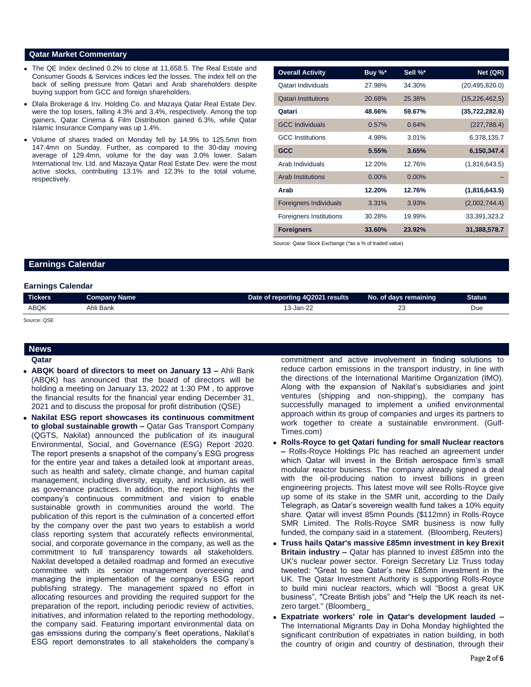## **Qatar Market Commentary**

- The QE Index declined 0.2% to close at 11,658.5. The Real Estate and Consumer Goods & Services indices led the losses. The index fell on the back of selling pressure from Qatari and Arab shareholders despite buying support from GCC and foreign shareholders.
- Dlala Brokerage & Inv. Holding Co. and Mazaya Qatar Real Estate Dev. were the top losers, falling 4.3% and 3.4%, respectively. Among the top gainers, Qatar Cinema & Film Distribution gained 6.3%, while Qatar Islamic Insurance Company was up 1.4%.
- Volume of shares traded on Monday fell by 14.9% to 125.5mn from 147.4mn on Sunday. Further, as compared to the 30-day moving average of 129.4mn, volume for the day was 3.0% lower. Salam International Inv. Ltd. and Mazaya Qatar Real Estate Dev. were the most active stocks, contributing 13.1% and 12.3% to the total volume, respectively.

| <b>Overall Activity</b>        | Buy %*   | Sell %*  | Net (QR)         |
|--------------------------------|----------|----------|------------------|
| Qatari Individuals             | 27.98%   | 34.30%   | (20, 495, 820.0) |
| <b>Qatari Institutions</b>     | 20.68%   | 25.38%   | (15, 226, 462.5) |
| Qatari                         | 48.66%   | 59.67%   | (35, 722, 282.6) |
| <b>GCC Individuals</b>         | 0.57%    | 0.64%    | (227, 788.4)     |
| <b>GCC</b> Institutions        | 4.98%    | 3.01%    | 6,378,135.7      |
| <b>GCC</b>                     | 5.55%    | 3.65%    | 6,150,347.4      |
| Arab Individuals               | 12.20%   | 12.76%   | (1,816,643.5)    |
| <b>Arab Institutions</b>       | $0.00\%$ | $0.00\%$ |                  |
| Arab                           | 12.20%   | 12.76%   | (1,816,643.5)    |
| <b>Foreigners Individuals</b>  | 3.31%    | 3.93%    | (2,002,744.4)    |
| <b>Foreigners Institutions</b> | 30.28%   | 19.99%   | 33,391,323.2     |
| <b>Foreigners</b>              | 33.60%   | 23.92%   | 31,388,578.7     |

Source: Qatar Stock Exchange (\*as a % of traded value)

# **Earnings Calendar**

| <b>Earnings Calendar</b> |
|--------------------------|
|                          |

| <b>Tickers</b> | <b>Company Name</b> | Date of reporting 4Q2021 results | No. of days remaining | Status |
|----------------|---------------------|----------------------------------|-----------------------|--------|
| ABQK           | Ahli Bank           | 13-Jan-22                        | n,                    | Due    |
|                |                     |                                  |                       |        |

#### Source: QSE

| ×<br>г | <b>Service Service</b> |  |
|--------|------------------------|--|
|        |                        |  |

**Qatar** 

- **ABQK board of directors to meet on January 13 –** Ahli Bank (ABQK) has announced that the board of directors will be holding a meeting on January 13, 2022 at 1:30 PM , to approve the financial results for the financial year ending December 31, 2021 and to discuss the proposal for profit distribution (QSE)
- **Nakilat ESG report showcases its continuous commitment to global sustainable growth –** Qatar Gas Transport Company (QGTS, Nakilat) announced the publication of its inaugural Environmental, Social, and Governance (ESG) Report 2020. The report presents a snapshot of the company's ESG progress for the entire year and takes a detailed look at important areas, such as health and safety, climate change, and human capital management, including diversity, equity, and inclusion, as well as governance practices. In addition, the report highlights the company's continuous commitment and vision to enable sustainable growth in communities around the world. The publication of this report is the culmination of a concerted effort by the company over the past two years to establish a world class reporting system that accurately reflects environmental, social, and corporate governance in the company, as well as the commitment to full transparency towards all stakeholders. Nakilat developed a detailed roadmap and formed an executive committee with its senior management overseeing and managing the implementation of the company's ESG report publishing strategy. The management spared no effort in allocating resources and providing the required support for the preparation of the report, including periodic review of activities, initiatives, and information related to the reporting methodology, the company said. Featuring important environmental data on gas emissions during the company's fleet operations, Nakilat's ESG report demonstrates to all stakeholders the company's

commitment and active involvement in finding solutions to reduce carbon emissions in the transport industry, in line with the directions of the International Maritime Organization (IMO). Along with the expansion of Nakilat's subsidiaries and joint ventures (shipping and non-shipping), the company has successfully managed to implement a unified environmental approach within its group of companies and urges its partners to work together to create a sustainable environment. (Gulf-Times.com)

- **Rolls-Royce to get Qatari funding for small Nuclear reactors –** Rolls-Royce Holdings Plc has reached an agreement under which Qatar will invest in the British aerospace firm's small modular reactor business. The company already signed a deal with the oil-producing nation to invest billions in green engineering projects. This latest move will see Rolls-Royce give up some of its stake in the SMR unit, according to the Daily Telegraph, as Qatar's sovereign wealth fund takes a 10% equity share. Qatar will invest 85mn Pounds (\$112mn) in Rolls-Royce SMR Limited. The Rolls-Royce SMR business is now fully funded, the company said in a statement. (Bloomberg, Reuters)
- **Truss hails Qatar's massive £85mn investment in key Brexit Britain industry –** Qatar has planned to invest £85mn into the UK's nuclear power sector. Foreign Secretary Liz Truss today tweeted: "Great to see Qatar's new £85mn investment in the UK. The Qatar Investment Authority is supporting Rolls-Royce to build mini nuclear reactors, which will "Boost a great UK business", "Create British jobs" and "Help the UK reach its netzero target." (Bloomberg\_
- **Expatriate workers' role in Qatar's development lauded –** The International Migrants Day in Doha Monday highlighted the significant contribution of expatriates in nation building, in both the country of origin and country of destination, through their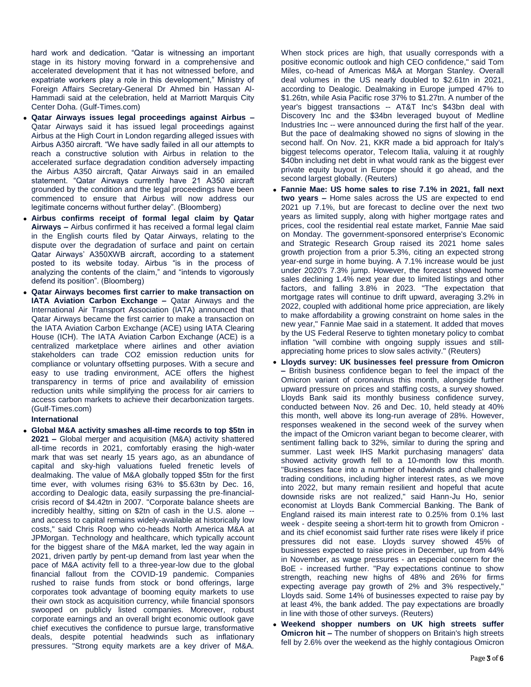hard work and dedication. "Qatar is witnessing an important stage in its history moving forward in a comprehensive and accelerated development that it has not witnessed before, and expatriate workers play a role in this development," Ministry of Foreign Affairs Secretary-General Dr Ahmed bin Hassan Al-Hammadi said at the celebration, held at Marriott Marquis City Center Doha. (Gulf-Times.com)

- **Qatar Airways issues legal proceedings against Airbus –** Qatar Airways said it has issued legal proceedings against Airbus at the High Court in London regarding alleged issues with Airbus A350 aircraft. "We have sadly failed in all our attempts to reach a constructive solution with Airbus in relation to the accelerated surface degradation condition adversely impacting the Airbus A350 aircraft, Qatar Airways said in an emailed statement. "Qatar Airways currently have 21 A350 aircraft grounded by the condition and the legal proceedings have been commenced to ensure that Airbus will now address our legitimate concerns without further delay". (Bloomberg)
- **Airbus confirms receipt of formal legal claim by Qatar Airways –** Airbus confirmed it has received a formal legal claim in the English courts filed by Qatar Airways, relating to the dispute over the degradation of surface and paint on certain Qatar Airways' A350XWB aircraft, according to a statement posted to its website today. Airbus "is in the process of analyzing the contents of the claim," and "intends to vigorously defend its position". (Bloomberg)
- **Qatar Airways becomes first carrier to make transaction on IATA Aviation Carbon Exchange –** Qatar Airways and the International Air Transport Association (IATA) announced that Qatar Airways became the first carrier to make a transaction on the IATA Aviation Carbon Exchange (ACE) using IATA Clearing House (ICH). The IATA Aviation Carbon Exchange (ACE) is a centralized marketplace where airlines and other aviation stakeholders can trade CO2 emission reduction units for compliance or voluntary offsetting purposes. With a secure and easy to use trading environment, ACE offers the highest transparency in terms of price and availability of emission reduction units while simplifying the process for air carriers to access carbon markets to achieve their decarbonization targets. (Gulf-Times.com)

# **International**

 **Global M&A activity smashes all-time records to top \$5tn in 2021 –** Global merger and acquisition (M&A) activity shattered all-time records in 2021, comfortably erasing the high-water mark that was set nearly 15 years ago, as an abundance of capital and sky-high valuations fueled frenetic levels of dealmaking. The value of M&A globally topped \$5tn for the first time ever, with volumes rising 63% to \$5.63tn by Dec. 16, according to Dealogic data, easily surpassing the pre-financialcrisis record of \$4.42tn in 2007. "Corporate balance sheets are incredibly healthy, sitting on \$2tn of cash in the U.S. alone - and access to capital remains widely-available at historically low costs," said Chris Roop who co-heads North America M&A at JPMorgan. Technology and healthcare, which typically account for the biggest share of the M&A market, led the way again in 2021, driven partly by pent-up demand from last year when the pace of M&A activity fell to a three-year-low due to the global financial fallout from the COVID-19 pandemic. Companies rushed to raise funds from stock or bond offerings, large corporates took advantage of booming equity markets to use their own stock as acquisition currency, while financial sponsors swooped on publicly listed companies. Moreover, robust corporate earnings and an overall bright economic outlook gave chief executives the confidence to pursue large, transformative deals, despite potential headwinds such as inflationary pressures. "Strong equity markets are a key driver of M&A.

When stock prices are high, that usually corresponds with a positive economic outlook and high CEO confidence," said Tom Miles, co-head of Americas M&A at Morgan Stanley. Overall deal volumes in the US nearly doubled to \$2.61tn in 2021, according to Dealogic. Dealmaking in Europe jumped 47% to \$1.26tn, while Asia Pacific rose 37% to \$1.27tn. A number of the year's biggest transactions -- AT&T Inc's \$43bn deal with Discovery Inc and the \$34bn leveraged buyout of Medline Industries Inc -- were announced during the first half of the year. But the pace of dealmaking showed no signs of slowing in the second half. On Nov. 21, KKR made a bid approach for Italy's biggest telecoms operator, Telecom Italia, valuing it at roughly \$40bn including net debt in what would rank as the biggest ever private equity buyout in Europe should it go ahead, and the second largest globally. (Reuters)

- **Fannie Mae: US home sales to rise 7.1% in 2021, fall next two years –** Home sales across the US are expected to end 2021 up 7.1%, but are forecast to decline over the next two years as limited supply, along with higher mortgage rates and prices, cool the residential real estate market, Fannie Mae said on Monday. The government-sponsored enterprise's Economic and Strategic Research Group raised its 2021 home sales growth projection from a prior 5.3%, citing an expected strong year-end surge in home buying. A 7.1% increase would be just under 2020's 7.3% jump. However, the forecast showed home sales declining 1.4% next year due to limited listings and other factors, and falling 3.8% in 2023. "The expectation that mortgage rates will continue to drift upward, averaging 3.2% in 2022, coupled with additional home price appreciation, are likely to make affordability a growing constraint on home sales in the new year," Fannie Mae said in a statement. It added that moves by the US Federal Reserve to tighten monetary policy to combat inflation "will combine with ongoing supply issues and stillappreciating home prices to slow sales activity." (Reuters)
- **Lloyds survey: UK businesses feel pressure from Omicron –** British business confidence began to feel the impact of the Omicron variant of coronavirus this month, alongside further upward pressure on prices and staffing costs, a survey showed. Lloyds Bank said its monthly business confidence survey, conducted between Nov. 26 and Dec. 10, held steady at 40% this month, well above its long-run average of 28%. However, responses weakened in the second week of the survey when the impact of the Omicron variant began to become clearer, with sentiment falling back to 32%, similar to during the spring and summer. Last week IHS Markit purchasing managers' data showed activity growth fell to a 10-month low this month. "Businesses face into a number of headwinds and challenging trading conditions, including higher interest rates, as we move into 2022, but many remain resilient and hopeful that acute downside risks are not realized," said Hann-Ju Ho, senior economist at Lloyds Bank Commercial Banking. The Bank of England raised its main interest rate to 0.25% from 0.1% last week - despite seeing a short-term hit to growth from Omicron and its chief economist said further rate rises were likely if price pressures did not ease. Lloyds survey showed 45% of businesses expected to raise prices in December, up from 44% in November, as wage pressures - an especial concern for the BoE - increased further. "Pay expectations continue to show strength, reaching new highs of 48% and 26% for firms expecting average pay growth of 2% and 3% respectively," Lloyds said. Some 14% of businesses expected to raise pay by at least 4%, the bank added. The pay expectations are broadly in line with those of other surveys. (Reuters)
- **Weekend shopper numbers on UK high streets suffer Omicron hit –** The number of shoppers on Britain's high streets fell by 2.6% over the weekend as the highly contagious Omicron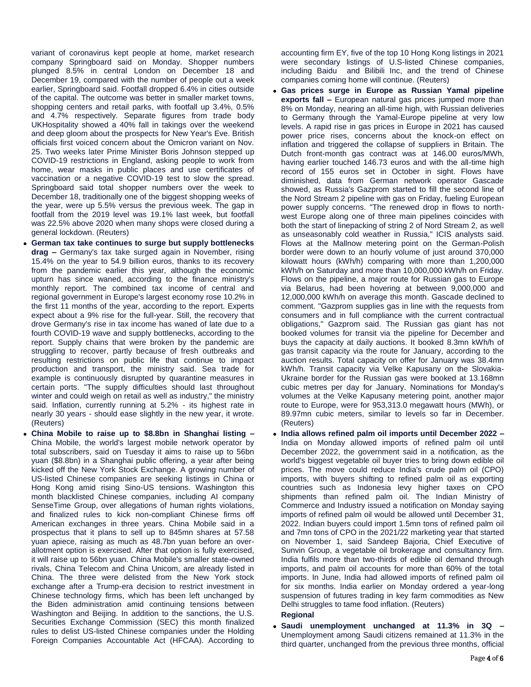variant of coronavirus kept people at home, market research company Springboard said on Monday. Shopper numbers plunged 8.5% in central London on December 18 and December 19, compared with the number of people out a week earlier, Springboard said. Footfall dropped 6.4% in cities outside of the capital. The outcome was better in smaller market towns, shopping centers and retail parks, with footfall up 3.4%, 0.5% and 4.7% respectively. Separate figures from trade body UKHospitality showed a 40% fall in takings over the weekend and deep gloom about the prospects for New Year's Eve. British officials first voiced concern about the Omicron variant on Nov. 25. Two weeks later Prime Minister Boris Johnson stepped up COVID-19 restrictions in England, asking people to work from home, wear masks in public places and use certificates of vaccination or a negative COVID-19 test to slow the spread. Springboard said total shopper numbers over the week to December 18, traditionally one of the biggest shopping weeks of the year, were up 5.5% versus the previous week. The gap in footfall from the 2019 level was 19.1% last week, but footfall was 22.5% above 2020 when many shops were closed during a general lockdown. (Reuters)

- **German tax take continues to surge but supply bottlenecks drag –** Germany's tax take surged again in November, rising 15.4% on the year to 54.9 billion euros, thanks to its recovery from the pandemic earlier this year, although the economic upturn has since waned, according to the finance ministry's monthly report. The combined tax income of central and regional government in Europe's largest economy rose 10.2% in the first 11 months of the year, according to the report. Experts expect about a 9% rise for the full-year. Still, the recovery that drove Germany's rise in tax income has waned of late due to a fourth COVID-19 wave and supply bottlenecks, according to the report. Supply chains that were broken by the pandemic are struggling to recover, partly because of fresh outbreaks and resulting restrictions on public life that continue to impact production and transport, the ministry said. Sea trade for example is continuously disrupted by quarantine measures in certain ports. "The supply difficulties should last throughout winter and could weigh on retail as well as industry," the ministry said. Inflation, currently running at 5.2% - its highest rate in nearly 30 years - should ease slightly in the new year, it wrote. (Reuters)
- **China Mobile to raise up to \$8.8bn in Shanghai listing –** China Mobile, the world's largest mobile network operator by total subscribers, said on Tuesday it aims to raise up to 56bn yuan (\$8.8bn) in a Shanghai public offering, a year after being kicked off the New York Stock Exchange. A growing number of US-listed Chinese companies are seeking listings in China or Hong Kong amid rising Sino-US tensions. Washington this month blacklisted Chinese companies, including AI company SenseTime Group, over allegations of human rights violations, and finalized rules to kick non-compliant Chinese firms off American exchanges in three years. China Mobile said in a prospectus that it plans to sell up to 845mn shares at 57.58 yuan apiece, raising as much as 48.7bn yuan before an overallotment option is exercised. After that option is fully exercised, it will raise up to 56bn yuan. China Mobile's smaller state-owned rivals, China Telecom and China Unicom, are already listed in China. The three were delisted from the New York stock exchange after a Trump-era decision to restrict investment in Chinese technology firms, which has been left unchanged by the Biden administration amid continuing tensions between Washington and Beijing. In addition to the sanctions, the U.S. Securities Exchange Commission (SEC) this month finalized rules to delist US-listed Chinese companies under the Holding Foreign Companies Accountable Act (HFCAA). According to

accounting firm EY, five of the top 10 Hong Kong listings in 2021 were secondary listings of U.S-listed Chinese companies, including Baidu and Bilibili Inc, and the trend of Chinese companies coming home will continue. (Reuters)

- **Gas prices surge in Europe as Russian Yamal pipeline exports fall –** European natural gas prices jumped more than 8% on Monday, nearing an all-time high, with Russian deliveries to Germany through the Yamal-Europe pipeline at very low levels. A rapid rise in gas prices in Europe in 2021 has caused power price rises, concerns about the knock-on effect on inflation and triggered the collapse of suppliers in Britain. The Dutch front-month gas contract was at 146.00 euros/MWh, having earlier touched 146.73 euros and with the all-time high record of 155 euros set in October in sight. Flows have diminished, data from German network operator Gascade showed, as Russia's Gazprom started to fill the second line of the Nord Stream 2 pipeline with gas on Friday, fueling European power supply concerns. "The renewed drop in flows to northwest Europe along one of three main pipelines coincides with both the start of linepacking of string 2 of Nord Stream 2, as well as unseasonably cold weather in Russia," ICIS analysts said. Flows at the Mallnow metering point on the German-Polish border were down to an hourly volume of just around 370,000 kilowatt hours (kWh/h) comparing with more than 1,200,000 kWh/h on Saturday and more than 10,000,000 kWh/h on Friday. Flows on the pipeline, a major route for Russian gas to Europe via Belarus, had been hovering at between 9,000,000 and 12,000,000 kWh/h on average this month. Gascade declined to comment. "Gazprom supplies gas in line with the requests from consumers and in full compliance with the current contractual obligations," Gazprom said. The Russian gas giant has not booked volumes for transit via the pipeline for December and buys the capacity at daily auctions. It booked 8.3mn kWh/h of gas transit capacity via the route for January, according to the auction results. Total capacity on offer for January was 38.4mn kWh/h. Transit capacity via Velke Kapusany on the Slovakia-Ukraine border for the Russian gas were booked at 13.168mn cubic metres per day for January. Nominations for Monday's volumes at the Velke Kapusany metering point, another major route to Europe, were for 953,313.0 megawatt hours (MWh), or 89.97mn cubic meters, similar to levels so far in December. (Reuters)
- **India allows refined palm oil imports until December 2022 –** India on Monday allowed imports of refined palm oil until December 2022, the government said in a notification, as the world's biggest vegetable oil buyer tries to bring down edible oil prices. The move could reduce India's crude palm oil (CPO) imports, with buyers shifting to refined palm oil as exporting countries such as Indonesia levy higher taxes on CPO shipments than refined palm oil. The Indian Ministry of Commerce and Industry issued a notification on Monday saying imports of refined palm oil would be allowed until December 31, 2022. Indian buyers could import 1.5mn tons of refined palm oil and 7mn tons of CPO in the 2021/22 marketing year that started on November 1, said Sandeep Bajoria, Chief Executive of Sunvin Group, a vegetable oil brokerage and consultancy firm. India fulfils more than two-thirds of edible oil demand through imports, and palm oil accounts for more than 60% of the total imports. In June, India had allowed imports of refined palm oil for six months. India earlier on Monday ordered a year-long suspension of futures trading in key farm commodities as New Delhi struggles to tame food inflation. (Reuters)

# **Regional**

 **Saudi unemployment unchanged at 11.3% in 3Q –** Unemployment among Saudi citizens remained at 11.3% in the third quarter, unchanged from the previous three months, official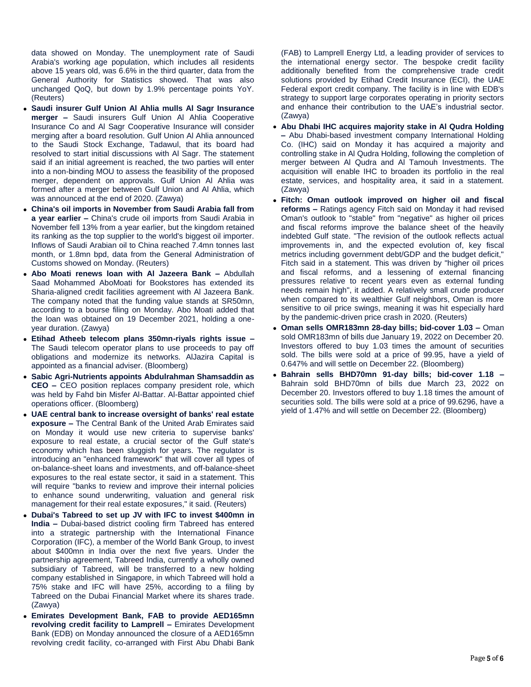data showed on Monday. The unemployment rate of Saudi Arabia's working age population, which includes all residents above 15 years old, was 6.6% in the third quarter, data from the General Authority for Statistics showed. That was also unchanged QoQ, but down by 1.9% percentage points YoY. (Reuters)

- **Saudi insurer Gulf Union Al Ahlia mulls Al Sagr Insurance merger –** Saudi insurers Gulf Union Al Ahlia Cooperative Insurance Co and Al Sagr Cooperative Insurance will consider merging after a board resolution. Gulf Union Al Ahlia announced to the Saudi Stock Exchange, Tadawul, that its board had resolved to start initial discussions with Al Sagr. The statement said if an initial agreement is reached, the two parties will enter into a non-binding MOU to assess the feasibility of the proposed merger, dependent on approvals. Gulf Union Al Ahlia was formed after a merger between Gulf Union and Al Ahlia, which was announced at the end of 2020. (Zawya)
- **China's oil imports in November from Saudi Arabia fall from a year earlier –** China's crude oil imports from Saudi Arabia in November fell 13% from a year earlier, but the kingdom retained its ranking as the top supplier to the world's biggest oil importer. Inflows of Saudi Arabian oil to China reached 7.4mn tonnes last month, or 1.8mn bpd, data from the General Administration of Customs showed on Monday. (Reuters)
- **Abo Moati renews loan with Al Jazeera Bank –** Abdullah Saad Mohammed AboMoati for Bookstores has extended its Sharia-aligned credit facilities agreement with Al Jazeera Bank. The company noted that the funding value stands at SR50mn, according to a bourse filing on Monday. Abo Moati added that the loan was obtained on 19 December 2021, holding a oneyear duration. (Zawya)
- **Etihad Atheeb telecom plans 350mn-riyals rights issue –** The Saudi telecom operator plans to use proceeds to pay off obligations and modernize its networks. AlJazira Capital is appointed as a financial adviser. (Bloomberg)
- **Sabic Agri-Nutrients appoints Abdulrahman Shamsaddin as CEO –** CEO position replaces company president role, which was held by Fahd bin Misfer Al-Battar. Al-Battar appointed chief operations officer. (Bloomberg)
- **UAE central bank to increase oversight of banks' real estate exposure –** The Central Bank of the United Arab Emirates said on Monday it would use new criteria to supervise banks' exposure to real estate, a crucial sector of the Gulf state's economy which has been sluggish for years. The regulator is introducing an "enhanced framework" that will cover all types of on-balance-sheet loans and investments, and off-balance-sheet exposures to the real estate sector, it said in a statement. This will require "banks to review and improve their internal policies to enhance sound underwriting, valuation and general risk management for their real estate exposures," it said. (Reuters)
- **Dubai's Tabreed to set up JV with IFC to invest \$400mn in India –** Dubai-based district cooling firm Tabreed has entered into a strategic partnership with the International Finance Corporation (IFC), a member of the World Bank Group, to invest about \$400mn in India over the next five years. Under the partnership agreement, Tabreed India, currently a wholly owned subsidiary of Tabreed, will be transferred to a new holding company established in Singapore, in which Tabreed will hold a 75% stake and IFC will have 25%, according to a filing by Tabreed on the Dubai Financial Market where its shares trade. (Zawya)
- **Emirates Development Bank, FAB to provide AED165mn revolving credit facility to Lamprell –** Emirates Development Bank (EDB) on Monday announced the closure of a AED165mn revolving credit facility, co-arranged with First Abu Dhabi Bank

(FAB) to Lamprell Energy Ltd, a leading provider of services to the international energy sector. The bespoke credit facility additionally benefited from the comprehensive trade credit solutions provided by Etihad Credit Insurance (ECI), the UAE Federal export credit company. The facility is in line with EDB's strategy to support large corporates operating in priority sectors and enhance their contribution to the UAE's industrial sector. (Zawya)

- **Abu Dhabi IHC acquires majority stake in Al Qudra Holding –** Abu Dhabi-based investment company International Holding Co. (IHC) said on Monday it has acquired a majority and controlling stake in Al Qudra Holding, following the completion of merger between Al Qudra and Al Tamouh Investments. The acquisition will enable IHC to broaden its portfolio in the real estate, services, and hospitality area, it said in a statement. (Zawya)
- **Fitch: Oman outlook improved on higher oil and fiscal reforms –** Ratings agency Fitch said on Monday it had revised Oman's outlook to "stable" from "negative" as higher oil prices and fiscal reforms improve the balance sheet of the heavily indebted Gulf state. "The revision of the outlook reflects actual improvements in, and the expected evolution of, key fiscal metrics including government debt/GDP and the budget deficit," Fitch said in a statement. This was driven by "higher oil prices and fiscal reforms, and a lessening of external financing pressures relative to recent years even as external funding needs remain high", it added. A relatively small crude producer when compared to its wealthier Gulf neighbors, Oman is more sensitive to oil price swings, meaning it was hit especially hard by the pandemic-driven price crash in 2020. (Reuters)
- **Oman sells OMR183mn 28-day bills; bid-cover 1.03 –** Oman sold OMR183mn of bills due January 19, 2022 on December 20. Investors offered to buy 1.03 times the amount of securities sold. The bills were sold at a price of 99.95, have a yield of 0.647% and will settle on December 22. (Bloomberg)
- **Bahrain sells BHD70mn 91-day bills; bid-cover 1.18 –** Bahrain sold BHD70mn of bills due March 23, 2022 on December 20. Investors offered to buy 1.18 times the amount of securities sold. The bills were sold at a price of 99.6296, have a yield of 1.47% and will settle on December 22. (Bloomberg)